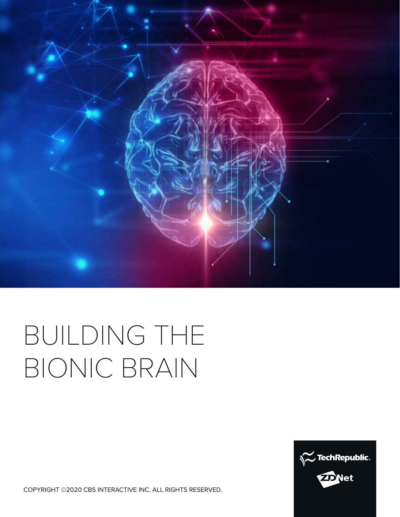

# BUILDING THE BIONIC BRAIN



COPYRIGHT ©2020 CBS INTERACTIVE INC. ALL RIGHTS RESERVED.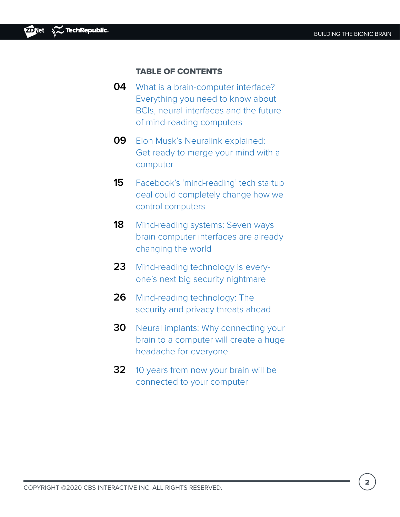### TABLE OF CONTENTS

- **0[4](#page-3-0)** What is a brain-computer interface? Everything you need to know about BCIs, neural interfaces and the future of mind-reading computers
- **0[9](#page-4-0)** Elon Musk's Neuralink explained: Get ready to merge your mind with a computer
- **1[5](#page-6-0)** Facebook's 'mind-reading' tech startup deal could completely change how we control computers
- **18** [M](#page-16-0)ind-reading systems: Seven ways brain computer interfaces are already changing the world
- **23** Mind-reading technology is everyone's next big security nightmare
- **26** Mind-reading technology: The security and privacy threats ahead
- **30** Neural implants: Why connecting your brain to a computer will create a huge headache for everyone
- **32** 10 years from now your brain will be connected to your computer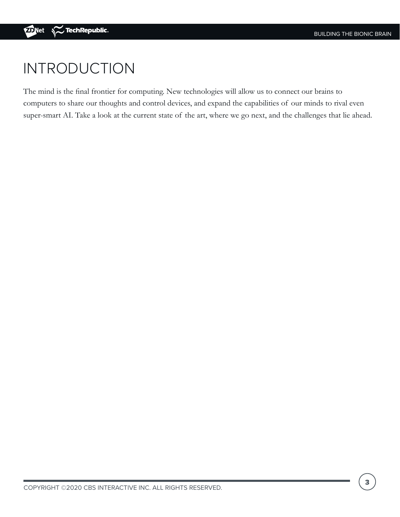## INTRODUCTION

The mind is the final frontier for computing. New technologies will allow us to connect our brains to computers to share our thoughts and control devices, and expand the capabilities of our minds to rival even super-smart AI. Take a look at the current state of the art, where we go next, and the challenges that lie ahead.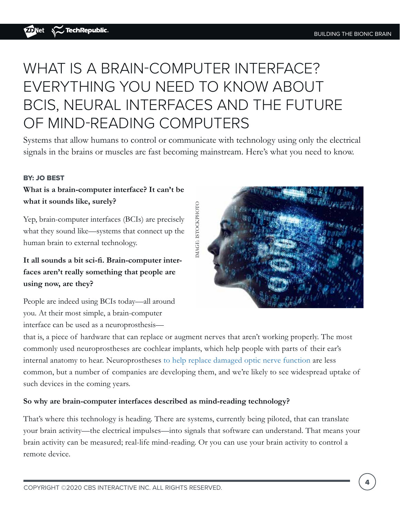# <span id="page-3-0"></span>WHAT IS A BRAIN-COMPUTER INTERFACE? EVERYTHING YOU NEED TO KNOW ABOUT BCIS, NEURAL INTERFACES AND THE FUTURE OF MIND-READING COMPUTERS

Systems that allow humans to control or communicate with technology using only the electrical signals in the brains or muscles are fast becoming mainstream. Here's what you need to know.

#### BY: JO BEST

### **What is a brain-computer interface? It can't be what it sounds like, surely?**

Yep, brain-computer interfaces (BCIs) are precisely what they sound like—systems that connect up the human brain to external technology.

**It all sounds a bit sci-fi. Brain-computer interfaces aren't really something that people are using now, are they?**

People are indeed using BCIs today—all around you. At their most simple, a brain-computer interface can be used as a neuroprosthesis—



that is, a piece of hardware that can replace or augment nerves that aren't working properly. The most commonly used neuroprostheses are cochlear implants, which help people with parts of their ear's internal anatomy to hear. Neuroprostheses [to help replace damaged optic nerve function](https://www.zdnet.com/article/the-pioneering-bionic-eyes-restoring-sight-how-implantable-tech-is-fighting-blindness/) are less common, but a number of companies are developing them, and we're likely to see widespread uptake of such devices in the coming years.

#### **So why are brain-computer interfaces described as mind-reading technology?**

That's where this technology is heading. There are systems, currently being piloted, that can translate your brain activity—the electrical impulses—into signals that software can understand. That means your brain activity can be measured; real-life mind-reading. Or you can use your brain activity to control a remote device.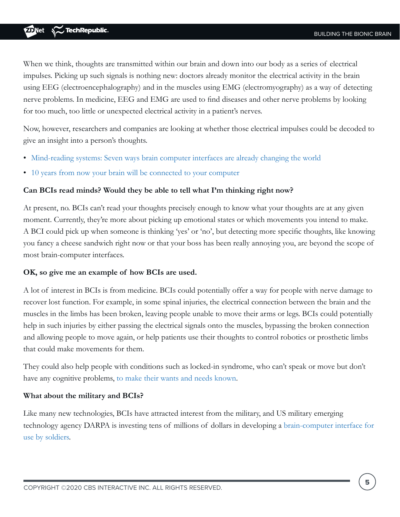<span id="page-4-0"></span>When we think, thoughts are transmitted within our brain and down into our body as a series of electrical impulses. Picking up such signals is nothing new: doctors already monitor the electrical activity in the brain using EEG (electroencephalography) and in the muscles using EMG (electromyography) as a way of detecting nerve problems. In medicine, EEG and EMG are used to find diseases and other nerve problems by looking for too much, too little or unexpected electrical activity in a patient's nerves.

Now, however, researchers and companies are looking at whether those electrical impulses could be decoded to give an insight into a person's thoughts.

- [Mind-reading systems: Seven ways brain computer interfaces are already changing the world](https://www.zdnet.com/article/mind-reading-systems-seven-ways-brain-computer-interfaces-are-already-changing-the-world/)
- [10 years from now your brain will be connected to your computer](https://www.zdnet.com/article/10-years-from-now-your-brain-will-be-connected-your-computer/)

### **Can BCIs read minds? Would they be able to tell what I'm thinking right now?**

At present, no. BCIs can't read your thoughts precisely enough to know what your thoughts are at any given moment. Currently, they're more about picking up emotional states or which movements you intend to make. A BCI could pick up when someone is thinking 'yes' or 'no', but detecting more specific thoughts, like knowing you fancy a cheese sandwich right now or that your boss has been really annoying you, are beyond the scope of most brain-computer interfaces.

#### **OK, so give me an example of how BCIs are used.**

A lot of interest in BCIs is from medicine. BCIs could potentially offer a way for people with nerve damage to recover lost function. For example, in some spinal injuries, the electrical connection between the brain and the muscles in the limbs has been broken, leaving people unable to move their arms or legs. BCIs could potentially help in such injuries by either passing the electrical signals onto the muscles, bypassing the broken connection and allowing people to move again, or help patients use their thoughts to control robotics or prosthetic limbs that could make movements for them.

They could also help people with conditions such as locked-in syndrome, who can't speak or move but don't have any cognitive problems, [to make their wants and needs known](https://www.zdnet.com/article/mind-reading-made-possible-how-people-that-cant-talk-can-communicate-by-thought-alone/).

#### **What about the military and BCIs?**

Like many new technologies, BCIs have attracted interest from the military, and US military emerging technology agency DARPA is investing tens of millions of dollars in developing a [brain-computer interface for](https://www.darpa.mil/news-events/2019-05-20)  [use by soldiers.](https://www.darpa.mil/news-events/2019-05-20)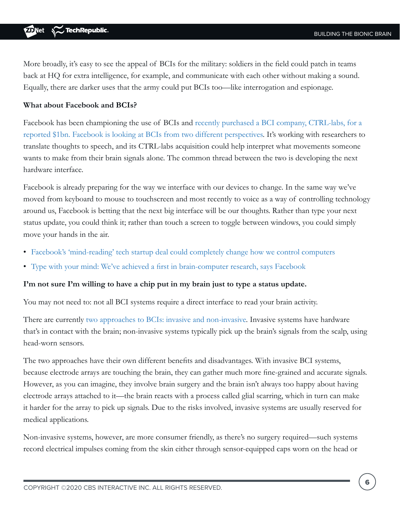More broadly, it's easy to see the appeal of BCIs for the military: soldiers in the field could patch in teams back at HQ for extra intelligence, for example, and communicate with each other without making a sound. Equally, there are darker uses that the army could put BCIs too—like interrogation and espionage.

#### **What about Facebook and BCIs?**

Facebook has been championing the use of BCIs and [recently purchased a BCI company, CTRL-labs, for a](https://www.zdnet.com/article/facebooks-mind-reading-tech-startup-deal-could-completely-change-how-we-control-computers/)  [reported \\$1bn. Facebook is looking at BCIs from two different perspectives](https://www.zdnet.com/article/facebooks-mind-reading-tech-startup-deal-could-completely-change-how-we-control-computers/). It's working with researchers to translate thoughts to speech, and its CTRL-labs acquisition could help interpret what movements someone wants to make from their brain signals alone. The common thread between the two is developing the next hardware interface.

Facebook is already preparing for the way we interface with our devices to change. In the same way we've moved from keyboard to mouse to touchscreen and most recently to voice as a way of controlling technology around us, Facebook is betting that the next big interface will be our thoughts. Rather than type your next status update, you could think it; rather than touch a screen to toggle between windows, you could simply move your hands in the air.

- [Facebook's 'mind-reading' tech startup deal could completely change how we control computers](https://www.zdnet.com/article/facebooks-mind-reading-tech-startup-deal-could-completely-change-how-we-control-computers/)
- [Type with your mind: We've achieved a first in brain-computer research, says Facebook](https://www.zdnet.com/article/type-with-your-mind-weve-achieved-a-first-in-brain-computer-research-says-facebook/)

#### **I'm not sure I'm willing to have a chip put in my brain just to type a status update.**

You may not need to: not all BCI systems require a direct interface to read your brain activity.

There are currently [two approaches to BCIs: invasive and non-invasive.](https://www.zdnet.com/article/is-mind-reading-tech-your-next-big-security-nightmare-yes-but-not-in-the-way-you-might-expect/) Invasive systems have hardware that's in contact with the brain; non-invasive systems typically pick up the brain's signals from the scalp, using head-worn sensors.

The two approaches have their own different benefits and disadvantages. With invasive BCI systems, because electrode arrays are touching the brain, they can gather much more fine-grained and accurate signals. However, as you can imagine, they involve brain surgery and the brain isn't always too happy about having electrode arrays attached to it—the brain reacts with a process called glial scarring, which in turn can make it harder for the array to pick up signals. Due to the risks involved, invasive systems are usually reserved for medical applications.

Non-invasive systems, however, are more consumer friendly, as there's no surgery required—such systems record electrical impulses coming from the skin either through sensor-equipped caps worn on the head or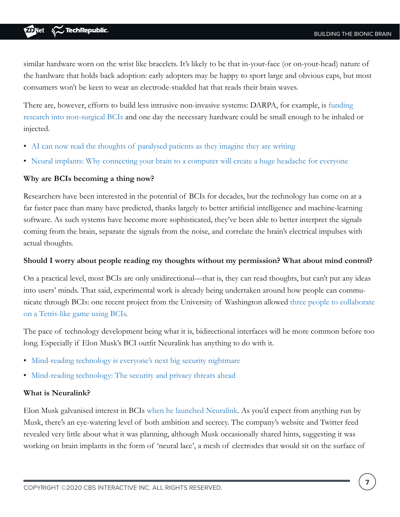<span id="page-6-0"></span>similar hardware worn on the wrist like bracelets. It's likely to be that in-your-face (or on-your-head) nature of the hardware that holds back adoption: early adopters may be happy to sport large and obvious caps, but most consumers won't be keen to wear an electrode-studded hat that reads their brain waves.

There are, however, efforts to build less intrusive non-invasive systems: DARPA, for example, is [funding](https://www.darpa.mil/news-events/2019-05-20)  [research into non-surgical BCIs](https://www.darpa.mil/news-events/2019-05-20) and one day the necessary hardware could be small enough to be inhaled or injected.

- [AI can now read the thoughts of paralysed patients as they imagine they are writing](https://www.zdnet.com/article/with-ai-paralysed-patients-can-communicate-simply-by-imagining-they-are-writing/)
- [Neural implants: Why connecting your brain to a computer will create a huge headache for everyone](https://www.zdnet.com/article/connecting-our-brains-to-computers-will-create-a-huge-headache/)

### **Why are BCIs becoming a thing now?**

Researchers have been interested in the potential of BCIs for decades, but the technology has come on at a far faster pace than many have predicted, thanks largely to better artificial intelligence and machine-learning software. As such systems have become more sophisticated, they've been able to better interpret the signals coming from the brain, separate the signals from the noise, and correlate the brain's electrical impulses with actual thoughts.

### **Should I worry about people reading my thoughts without my permission? What about mind control?**

On a practical level, most BCIs are only unidirectional—that is, they can read thoughts, but can't put any ideas into users' minds. That said, experimental work is already being undertaken around how people can communicate through BCIs: one recent project from the University of Washington allowed [three people to collaborate](https://www.zdnet.com/article/mind-reading-systems-seven-ways-brain-computer-interfaces-are-already-changing-the-world/)  [on a Tetris-like game using BCIs.](https://www.zdnet.com/article/mind-reading-systems-seven-ways-brain-computer-interfaces-are-already-changing-the-world/)

The pace of technology development being what it is, bidirectional interfaces will be more common before too long. Especially if Elon Musk's BCI outfit Neuralink has anything to do with it.

- [Mind-reading technology is everyone's next big security nightmare](https://www.zdnet.com/article/is-mind-reading-tech-your-next-big-security-nightmare-yes-but-not-in-the-way-you-might-expect/)
- [Mind-reading technology: The security and privacy threats ahead](https://www.zdnet.com/article/mind-reading-technology-the-security-privacy-and-inequality-threats-we-will-face/)

### **What is Neuralink?**

Elon Musk galvanised interest in BCIs [when he launched Neuralink.](https://www.zdnet.com/article/wish-a-firmware-upgrade-could-make-you-smarter-thats-elon-musks-new-goal/) As you'd expect from anything run by Musk, there's an eye-watering level of both ambition and secrecy. The company's website and Twitter feed revealed very little about what it was planning, although Musk occasionally shared hints, suggesting it was working on brain implants in the form of 'neural lace', a mesh of electrodes that would sit on the surface of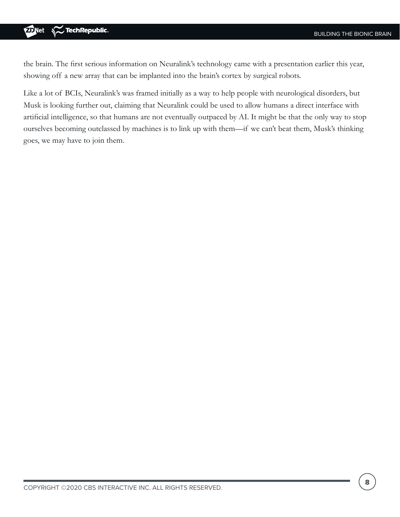#### TechRepublic. **D**Net

the brain. The first serious information on Neuralink's technology came with a presentation earlier this year, showing off a new array that can be implanted into the brain's cortex by surgical robots.

Like a lot of BCIs, Neuralink's was framed initially as a way to help people with neurological disorders, but Musk is looking further out, claiming that Neuralink could be used to allow humans a direct interface with artificial intelligence, so that humans are not eventually outpaced by AI. It might be that the only way to stop ourselves becoming outclassed by machines is to link up with them—if we can't beat them, Musk's thinking goes, we may have to join them.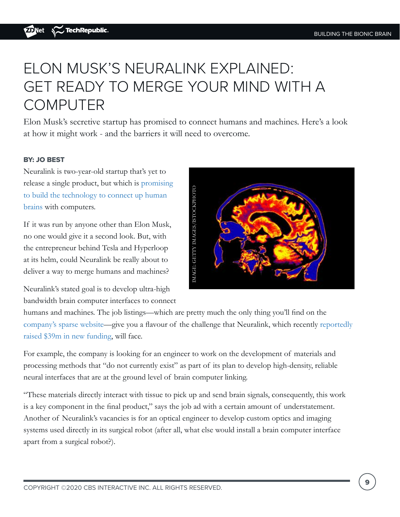# ELON MUSK'S NEURALINK EXPLAINED: GET READY TO MERGE YOUR MIND WITH A COMPUTER

Elon Musk's secretive startup has promised to connect humans and machines. Here's a look at how it might work - and the barriers it will need to overcome.

### BY: JO BEST

Neuralink is two-year-old startup that's yet to release a single product, but which is [promising](https://www.zdnet.com/article/wish-a-firmware-upgrade-could-make-you-smarter-thats-elon-musks-new-goal/)  [to build the technology to connect up human](https://www.zdnet.com/article/wish-a-firmware-upgrade-could-make-you-smarter-thats-elon-musks-new-goal/)  [brains](https://www.zdnet.com/article/wish-a-firmware-upgrade-could-make-you-smarter-thats-elon-musks-new-goal/) with computers.

If it was run by anyone other than Elon Musk, no one would give it a second look. But, with the entrepreneur behind Tesla and Hyperloop at its helm, could Neuralink be really about to deliver a way to merge humans and machines?

IMAGE: GETTY IMAGES/ISTOCKPHOTO IMAGE: GETTY IMAGES/ISTOCKPHOTO

Neuralink's stated goal is to develop ultra-high bandwidth brain computer interfaces to connect

humans and machines. The job listings—which are pretty much the only thing you'll find on the [company's sparse website—](https://www.neuralink.com/)give you a flavour of the challenge that Neuralink, which recently [reportedly](https://www.sec.gov/Archives/edgar/data/1708503/000170850319000001/xslFormDX01/primary_doc.xml)  [raised \\$39m in new funding](https://www.sec.gov/Archives/edgar/data/1708503/000170850319000001/xslFormDX01/primary_doc.xml), will face.

For example, the company is looking for an engineer to work on the development of materials and processing methods that "do not currently exist" as part of its plan to develop high-density, reliable neural interfaces that are at the ground level of brain computer linking.

"These materials directly interact with tissue to pick up and send brain signals, consequently, this work is a key component in the final product," says the job ad with a certain amount of understatement. Another of Neuralink's vacancies is for an optical engineer to develop custom optics and imaging systems used directly in its surgical robot (after all, what else would install a brain computer interface apart from a surgical robot?).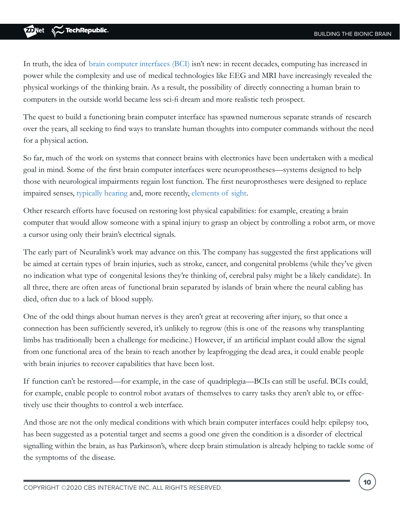In truth, the idea of [brain computer interfaces \(BCI\)](https://www.zdnet.com/article/10-years-from-now-your-brain-will-be-connected-your-computer/) isn't new: in recent decades, computing has increased in power while the complexity and use of medical technologies like EEG and MRI have increasingly revealed the physical workings of the thinking brain. As a result, the possibility of directly connecting a human brain to computers in the outside world became less sci-fi dream and more realistic tech prospect.

The quest to build a functioning brain computer interface has spawned numerous separate strands of research over the years, all seeking to find ways to translate human thoughts into computer commands without the need for a physical action.

So far, much of the work on systems that connect brains with electronics have been undertaken with a medical goal in mind. Some of the first brain computer interfaces were neuroprostheses—systems designed to help those with neurological impairments regain lost function. The first neuroprostheses were designed to replace impaired senses, [typically hearing](https://www.zdnet.com/article/fully-implantable-how-to-build-a-better-bionic-ear/) and, more recently, [elements of sight](https://www.zdnet.com/article/the-pioneering-bionic-eyes-restoring-sight-how-implantable-tech-is-fighting-blindness/).

Other research efforts have focused on restoring lost physical capabilities: for example, creating a brain computer that would allow someone with a spinal injury to grasp an object by controlling a robot arm, or move a cursor using only their brain's electrical signals.

The early part of Neuralink's work may advance on this. The company has suggested the first applications will be aimed at certain types of brain injuries, such as stroke, cancer, and congenital problems (while they've given no indication what type of congenital lesions they're thinking of, cerebral palsy might be a likely candidate). In all three, there are often areas of functional brain separated by islands of brain where the neural cabling has died, often due to a lack of blood supply.

One of the odd things about human nerves is they aren't great at recovering after injury, so that once a connection has been sufficiently severed, it's unlikely to regrow (this is one of the reasons why transplanting limbs has traditionally been a challenge for medicine.) However, if an artificial implant could allow the signal from one functional area of the brain to reach another by leapfrogging the dead area, it could enable people with brain injuries to recover capabilities that have been lost.

If function can't be restored—for example, in the case of quadriplegia—BCIs can still be useful. BCIs could, for example, enable people to control robot avatars of themselves to carry tasks they aren't able to, or effectively use their thoughts to control a web interface.

And those are not the only medical conditions with which brain computer interfaces could help: epilepsy too, has been suggested as a potential target and seems a good one given the condition is a disorder of electrical signalling within the brain, as has Parkinson's, where deep brain stimulation is already helping to tackle some of the symptoms of the disease.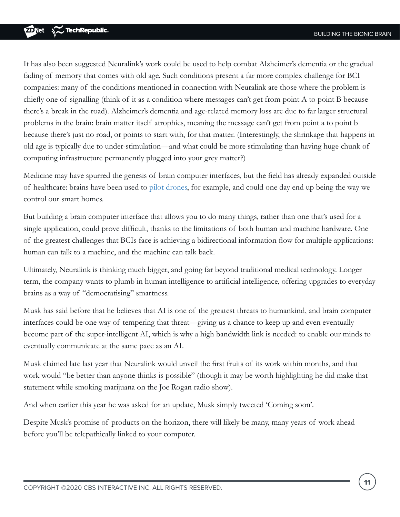It has also been suggested Neuralink's work could be used to help combat Alzheimer's dementia or the gradual fading of memory that comes with old age. Such conditions present a far more complex challenge for BCI companies: many of the conditions mentioned in connection with Neuralink are those where the problem is chiefly one of signalling (think of it as a condition where messages can't get from point A to point B because there's a break in the road). Alzheimer's dementia and age-related memory loss are due to far larger structural problems in the brain: brain matter itself atrophies, meaning the message can't get from point a to point b because there's just no road, or points to start with, for that matter. (Interestingly, the shrinkage that happens in old age is typically due to under-stimulation—and what could be more stimulating than having huge chunk of computing infrastructure permanently plugged into your grey matter?)

Medicine may have spurred the genesis of brain computer interfaces, but the field has already expanded outside of healthcare: brains have been used to [pilot drones,](http://braindronerace.com/#link=%7B%22role%22:%22standard%22,%22href%22:%22http://braindronerace.com/%22,%22target%22:%22%22,%22absolute%22:%22%22,%22linkText%22:%22pilot%20drones%22%7D) for example, and could one day end up being the way we control our smart homes.

But building a brain computer interface that allows you to do many things, rather than one that's used for a single application, could prove difficult, thanks to the limitations of both human and machine hardware. One of the greatest challenges that BCIs face is achieving a bidirectional information flow for multiple applications: human can talk to a machine, and the machine can talk back.

Ultimately, Neuralink is thinking much bigger, and going far beyond traditional medical technology. Longer term, the company wants to plumb in human intelligence to artificial intelligence, offering upgrades to everyday brains as a way of "democratising" smartness.

Musk has said before that he believes that AI is one of the greatest threats to humankind, and brain computer interfaces could be one way of tempering that threat—giving us a chance to keep up and even eventually become part of the super-intelligent AI, which is why a high bandwidth link is needed: to enable our minds to eventually communicate at the same pace as an AI.

Musk claimed late last year that Neuralink would unveil the first fruits of its work within months, and that work would "be better than anyone thinks is possible" (though it may be worth highlighting he did make that statement while smoking marijuana on the Joe Rogan radio show).

And when earlier this year he was asked for an update, Musk simply tweeted 'Coming soon'.

Despite Musk's promise of products on the horizon, there will likely be many, many years of work ahead before you'll be telepathically linked to your computer.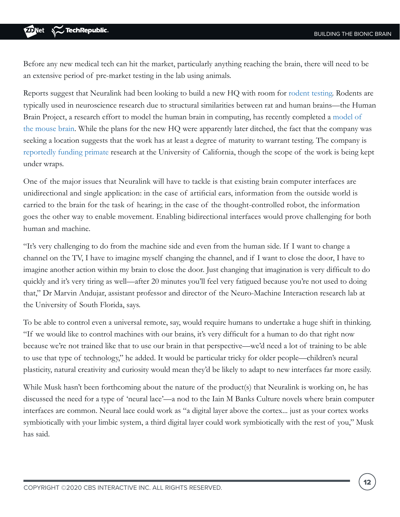Before any new medical tech can hit the market, particularly anything reaching the brain, there will need to be an extensive period of pre-market testing in the lab using animals.

Reports suggest that Neuralink had been looking to build a new HQ with room for [rodent testing](https://www.bloomberg.com/news/articles/2019-04-11/team-linked-to-elon-musk-neuralink-outline-brain-monitor-system). Rodents are typically used in neuroscience research due to structural similarities between rat and human brains—the Human Brain Project, a research effort to model the human brain in computing, has recently completed a [model of](https://www.humanbrainproject.eu/en/brain-simulation/whole-mouse-brain-model/#link=%7B%22role%22:%22standard%22,%22href%22:%22https://www.humanbrainproject.eu/en/brain-simulation/whole-mouse-brain-model/%22,%22target%22:%22%22,%22absolute%22:%22%22,%22linkText%22:%22model%20of%20the%20mouse%20brain%22%7D)  [the mouse brain](https://www.humanbrainproject.eu/en/brain-simulation/whole-mouse-brain-model/#link=%7B%22role%22:%22standard%22,%22href%22:%22https://www.humanbrainproject.eu/en/brain-simulation/whole-mouse-brain-model/%22,%22target%22:%22%22,%22absolute%22:%22%22,%22linkText%22:%22model%20of%20the%20mouse%20brain%22%7D). While the plans for the new HQ were apparently later ditched, the fact that the company was seeking a location suggests that the work has at least a degree of maturity to warrant testing. The company is [reportedly funding primate](https://www.humanbrainproject.eu/en/brain-simulation/whole-mouse-brain-model/#link=%7B%22role%22:%22standard%22,%22href%22:%22https://www.humanbrainproject.eu/en/brain-simulation/whole-mouse-brain-model/%22,%22target%22:%22%22,%22absolute%22:%22%22,%22linkText%22:%22model%20of%20the%20mouse%20brain%22%7D) research at the University of California, though the scope of the work is being kept under wraps.

One of the major issues that Neuralink will have to tackle is that existing brain computer interfaces are unidirectional and single application: in the case of artificial ears, information from the outside world is carried to the brain for the task of hearing; in the case of the thought-controlled robot, the information goes the other way to enable movement. Enabling bidirectional interfaces would prove challenging for both human and machine.

"It's very challenging to do from the machine side and even from the human side. If I want to change a channel on the TV, I have to imagine myself changing the channel, and if I want to close the door, I have to imagine another action within my brain to close the door. Just changing that imagination is very difficult to do quickly and it's very tiring as well—after 20 minutes you'll feel very fatigued because you're not used to doing that," Dr Marvin Andujar, assistant professor and director of the Neuro-Machine Interaction research lab at the University of South Florida, says.

To be able to control even a universal remote, say, would require humans to undertake a huge shift in thinking. "If we would like to control machines with our brains, it's very difficult for a human to do that right now because we're not trained like that to use our brain in that perspective—we'd need a lot of training to be able to use that type of technology," he added. It would be particular tricky for older people—children's neural plasticity, natural creativity and curiosity would mean they'd be likely to adapt to new interfaces far more easily.

While Musk hasn't been forthcoming about the nature of the product(s) that Neuralink is working on, he has discussed the need for a type of 'neural lace'—a nod to the Iain M Banks Culture novels where brain computer interfaces are common. Neural lace could work as "a digital layer above the cortex... just as your cortex works symbiotically with your limbic system, a third digital layer could work symbiotically with the rest of you," Musk has said.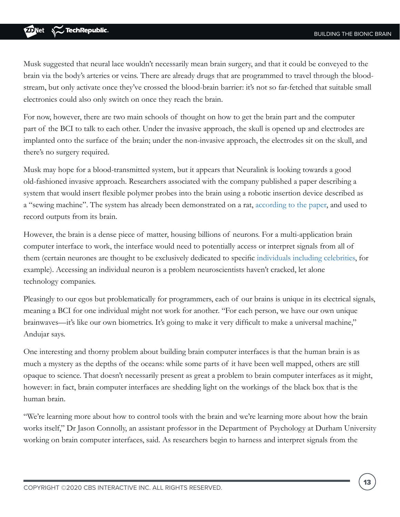Musk suggested that neural lace wouldn't necessarily mean brain surgery, and that it could be conveyed to the brain via the body's arteries or veins. There are already drugs that are programmed to travel through the bloodstream, but only activate once they've crossed the blood-brain barrier: it's not so far-fetched that suitable small electronics could also only switch on once they reach the brain.

For now, however, there are two main schools of thought on how to get the brain part and the computer part of the BCI to talk to each other. Under the invasive approach, the skull is opened up and electrodes are implanted onto the surface of the brain; under the non-invasive approach, the electrodes sit on the skull, and there's no surgery required.

Musk may hope for a blood-transmitted system, but it appears that Neuralink is looking towards a good old-fashioned invasive approach. Researchers associated with the company published a paper describing a system that would insert flexible polymer probes into the brain using a robotic insertion device described as a "sewing machine". The system has already been demonstrated on a rat, [according to the paper,](https://www.biorxiv.org/content/10.1101/578542v1.full#link=%7B%22role%22:%22standard%22,%22href%22:%22https://www.biorxiv.org/content/10.1101/578542v1.full%22,%22target%22:%22%22,%22absolute%22:%22%22,%22linkText%22:%22according%20to%20the%20paper%22%7D) and used to record outputs from its brain.

However, the brain is a dense piece of matter, housing billions of neurons. For a multi-application brain computer interface to work, the interface would need to potentially access or interpret signals from all of them (certain neurones are thought to be exclusively dedicated to specific [individuals including celebrities,](https://www.newscientist.com/article/dn7567-why-your-brain-has-a-jennifer-aniston-cell/#link=%7B%22role%22:%22standard%22,%22href%22:%22https://www.newscientist.com/article/dn7567-why-your-brain-has-a-jennifer-aniston-cell/%22,%22target%22:%22%22,%22absolute%22:%22%22,%22linkText%22:%22individuals%20including%20celebrities%22%7D) for example). Accessing an individual neuron is a problem neuroscientists haven't cracked, let alone technology companies.

Pleasingly to our egos but problematically for programmers, each of our brains is unique in its electrical signals, meaning a BCI for one individual might not work for another. "For each person, we have our own unique brainwaves—it's like our own biometrics. It's going to make it very difficult to make a universal machine," Andujar says.

One interesting and thorny problem about building brain computer interfaces is that the human brain is as much a mystery as the depths of the oceans: while some parts of it have been well mapped, others are still opaque to science. That doesn't necessarily present as great a problem to brain computer interfaces as it might, however: in fact, brain computer interfaces are shedding light on the workings of the black box that is the human brain.

"We're learning more about how to control tools with the brain and we're learning more about how the brain works itself," Dr Jason Connolly, an assistant professor in the Department of Psychology at Durham University working on brain computer interfaces, said. As researchers begin to harness and interpret signals from the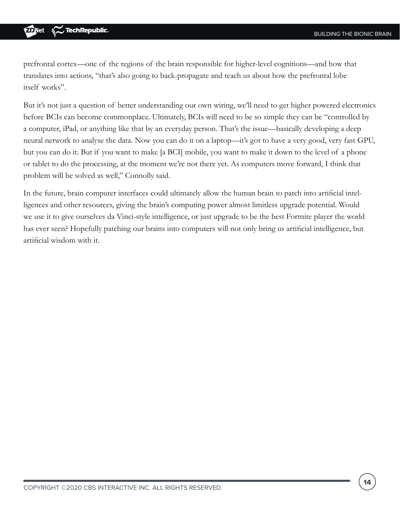prefrontal cortex—one of the regions of the brain responsible for higher-level cognitions—and how that translates into actions, "that's also going to back-propagate and teach us about how the prefrontal lobe itself works".

But it's not just a question of better understanding our own wiring, we'll need to get higher powered electronics before BCIs can become commonplace. Ultimately, BCIs will need to be so simple they can be "controlled by a computer, iPad, or anything like that by an everyday person. That's the issue—basically developing a deep neural network to analyse the data. Now you can do it on a laptop—it's got to have a very good, very fast GPU, but you can do it. But if you want to make [a BCI] mobile, you want to make it down to the level of a phone or tablet to do the processing, at the moment we're not there yet. As computers move forward, I think that problem will be solved as well," Connolly said.

In the future, brain computer interfaces could ultimately allow the human brain to patch into artificial intelligences and other resources, giving the brain's computing power almost limitless upgrade potential. Would we use it to give ourselves da Vinci-style intelligence, or just upgrade to be the best Fortnite player the world has ever seen? Hopefully patching our brains into computers will not only bring us artificial intelligence, but artificial wisdom with it.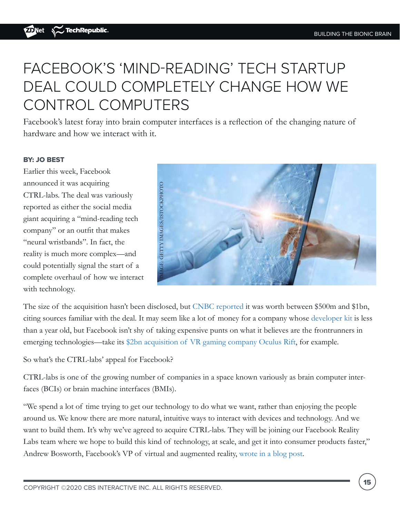# FACEBOOK'S 'MIND-READING' TECH STARTUP DEAL COULD COMPLETELY CHANGE HOW WE CONTROL COMPUTERS

Facebook's latest foray into brain computer interfaces is a reflection of the changing nature of hardware and how we interact with it.

### BY: JO BEST

Earlier this week, Facebook announced it was acquiring CTRL-labs. The deal was variously reported as either the social media giant acquiring a "mind-reading tech company" or an outfit that makes "neural wristbands". In fact, the reality is much more complex—and could potentially signal the start of a complete overhaul of how we interact with technology.



The size of the acquisition hasn't been disclosed, but [CNBC reported](https://www.cnbc.com/2019/09/23/facebook-announces-acquisition-of-brain-computing-start-up-ctrl-labs.html) it was worth between \$500m and \$1bn, citing sources familiar with the deal. It may seem like a lot of money for a company whose [developer kit](https://www.ctrl-labs.com/ctrl-kit/) is less than a year old, but Facebook isn't shy of taking expensive punts on what it believes are the frontrunners in emerging technologies—take its [\\$2bn acquisition of VR gaming company Oculus Rift,](https://www.zdnet.com/article/facebooks-latest-multi-billion-buy-3d-gaming-company-oculus/) for example.

So what's the CTRL-labs' appeal for Facebook?

CTRL-labs is one of the growing number of companies in a space known variously as brain computer interfaces (BCIs) or brain machine interfaces (BMIs).

"We spend a lot of time trying to get our technology to do what we want, rather than enjoying the people around us. We know there are more natural, intuitive ways to interact with devices and technology. And we want to build them. It's why we've agreed to acquire CTRL-labs. They will be joining our Facebook Reality Labs team where we hope to build this kind of technology, at scale, and get it into consumer products faster,"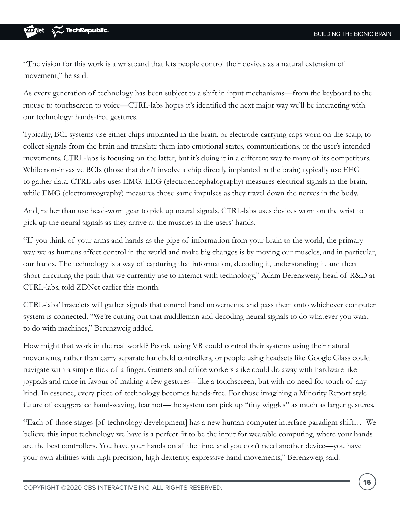"The vision for this work is a wristband that lets people control their devices as a natural extension of movement," he said.

As every generation of technology has been subject to a shift in input mechanisms—from the keyboard to the mouse to touchscreen to voice—CTRL-labs hopes it's identified the next major way we'll be interacting with our technology: hands-free gestures.

Typically, BCI systems use either chips implanted in the brain, or electrode-carrying caps worn on the scalp, to collect signals from the brain and translate them into emotional states, communications, or the user's intended movements. CTRL-labs is focusing on the latter, but it's doing it in a different way to many of its competitors. While non-invasive BCIs (those that don't involve a chip directly implanted in the brain) typically use EEG to gather data, CTRL-labs uses EMG. EEG (electroencephalography) measures electrical signals in the brain, while EMG (electromyography) measures those same impulses as they travel down the nerves in the body.

And, rather than use head-worn gear to pick up neural signals, CTRL-labs uses devices worn on the wrist to pick up the neural signals as they arrive at the muscles in the users' hands.

"If you think of your arms and hands as the pipe of information from your brain to the world, the primary way we as humans affect control in the world and make big changes is by moving our muscles, and in particular, our hands. The technology is a way of capturing that information, decoding it, understanding it, and then short-circuiting the path that we currently use to interact with technology," Adam Berenzweig, head of R&D at CTRL-labs, told ZDNet earlier this month.

CTRL-labs' bracelets will gather signals that control hand movements, and pass them onto whichever computer system is connected. "We're cutting out that middleman and decoding neural signals to do whatever you want to do with machines," Berenzweig added.

How might that work in the real world? People using VR could control their systems using their natural movements, rather than carry separate handheld controllers, or people using headsets like Google Glass could navigate with a simple flick of a finger. Gamers and office workers alike could do away with hardware like joypads and mice in favour of making a few gestures—like a touchscreen, but with no need for touch of any kind. In essence, every piece of technology becomes hands-free. For those imagining a Minority Report style future of exaggerated hand-waving, fear not—the system can pick up "tiny wiggles" as much as larger gestures.

"Each of those stages [of technology development] has a new human computer interface paradigm shift… We believe this input technology we have is a perfect fit to be the input for wearable computing, where your hands are the best controllers. You have your hands on all the time, and you don't need another device—you have your own abilities with high precision, high dexterity, expressive hand movements," Berenzweig said.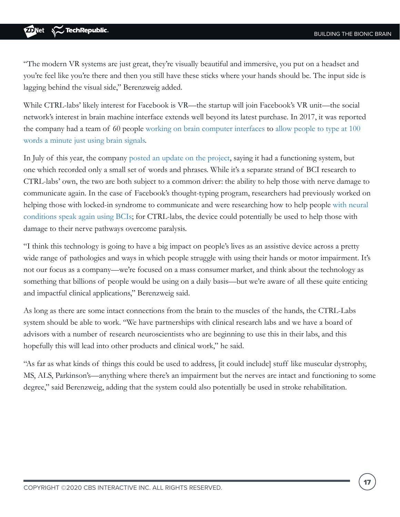<span id="page-16-0"></span>"The modern VR systems are just great, they're visually beautiful and immersive, you put on a headset and you're feel like you're there and then you still have these sticks where your hands should be. The input side is lagging behind the visual side," Berenzweig added.

While CTRL-labs' likely interest for Facebook is VR—the startup will join Facebook's VR unit—the social network's interest in brain machine interface extends well beyond its latest purchase. In 2017, it was reported the company had a team of 60 people [working on brain computer interfaces](https://www.theguardian.com/technology/2017/apr/19/facebook-mind-reading-technology-f8) to [allow people to type at 100](https://www.zdnet.com/article/facebook-wants-to-help-you-communicate-directly-from-your-brain-via-non-invasive-sensors/)  [words a minute just using brain signals.](https://www.zdnet.com/article/facebook-wants-to-help-you-communicate-directly-from-your-brain-via-non-invasive-sensors/)

In July of this year, the company [posted an update on the project,](https://tech.fb.com/imagining-a-new-interface-hands-free-communication-without-saying-a-word/) saying it had a functioning system, but one which recorded only a small set of words and phrases. While it's a separate strand of BCI research to CTRL-labs' own, the two are both subject to a common driver: the ability to help those with nerve damage to communicate again. In the case of Facebook's thought-typing program, researchers had previously worked on helping those with locked-in syndrome to communicate and were researching how to help people [with neural](https://tech.fb.com/imagining-a-new-interface-hands-free-communication-without-saying-a-word/)  [conditions speak again using BCIs;](https://tech.fb.com/imagining-a-new-interface-hands-free-communication-without-saying-a-word/) for CTRL-labs, the device could potentially be used to help those with damage to their nerve pathways overcome paralysis.

"I think this technology is going to have a big impact on people's lives as an assistive device across a pretty wide range of pathologies and ways in which people struggle with using their hands or motor impairment. It's not our focus as a company—we're focused on a mass consumer market, and think about the technology as something that billions of people would be using on a daily basis—but we're aware of all these quite enticing and impactful clinical applications," Berenzweig said.

As long as there are some intact connections from the brain to the muscles of the hands, the CTRL-Labs system should be able to work. "We have partnerships with clinical research labs and we have a board of advisors with a number of research neuroscientists who are beginning to use this in their labs, and this hopefully this will lead into other products and clinical work," he said.

"As far as what kinds of things this could be used to address, [it could include] stuff like muscular dystrophy, MS, ALS, Parkinson's—anything where there's an impairment but the nerves are intact and functioning to some degree," said Berenzweig, adding that the system could also potentially be used in stroke rehabilitation.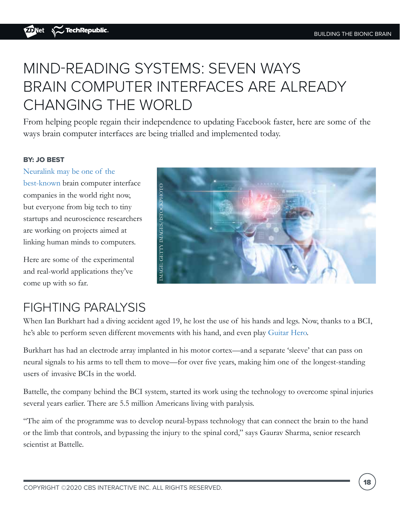# MIND-READING SYSTEMS: SEVEN WAYS BRAIN COMPUTER INTERFACES ARE ALREADY CHANGING THE WORLD

From helping people regain their independence to updating Facebook faster, here are some of the ways brain computer interfaces are being trialled and implemented today.

### BY: JO BEST

[Neuralink may be one of the](https://www.zdnet.com/article/elon-musks-neuralink-explained-get-ready-to-merge-your-mind-with-a-computer/) 

[best-known](https://www.zdnet.com/article/elon-musks-neuralink-explained-get-ready-to-merge-your-mind-with-a-computer/) brain computer interface companies in the world right now, but everyone from big tech to tiny startups and neuroscience researchers are working on projects aimed at linking human minds to computers.

Here are some of the experimental and real-world applications they've come up with so far.



### FIGHTING PARALYSIS

When Ian Burkhart had a diving accident aged 19, he lost the use of his hands and legs. Now, thanks to a BCI, he's able to perform seven different movements with his hand, and even play [Guitar Hero.](https://www.sciencemag.org/news/2016/04/brain-implant-helps-quadriplegic-play-guitar-hero)

Burkhart has had an electrode array implanted in his motor cortex—and a separate 'sleeve' that can pass on neural signals to his arms to tell them to move—for over five years, making him one of the longest-standing users of invasive BCIs in the world.

Battelle, the company behind the BCI system, started its work using the technology to overcome spinal injuries several years earlier. There are 5.5 million Americans living with paralysis.

"The aim of the programme was to develop neural-bypass technology that can connect the brain to the hand or the limb that controls, and bypassing the injury to the spinal cord," says Gaurav Sharma, senior research scientist at Battelle.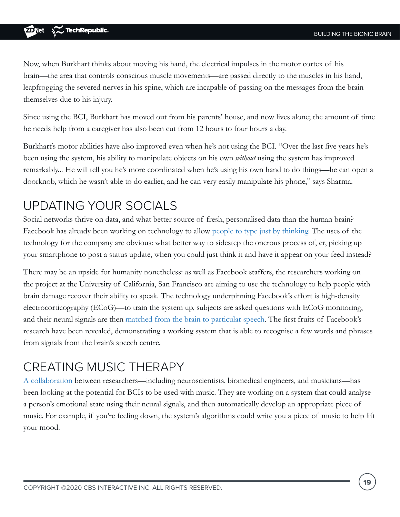Now, when Burkhart thinks about moving his hand, the electrical impulses in the motor cortex of his brain—the area that controls conscious muscle movements—are passed directly to the muscles in his hand, leapfrogging the severed nerves in his spine, which are incapable of passing on the messages from the brain themselves due to his injury.

Since using the BCI, Burkhart has moved out from his parents' house, and now lives alone; the amount of time he needs help from a caregiver has also been cut from 12 hours to four hours a day.

Burkhart's motor abilities have also improved even when he's not using the BCI. "Over the last five years he's been using the system, his ability to manipulate objects on his own *without* using the system has improved remarkably... He will tell you he's more coordinated when he's using his own hand to do things—he can open a doorknob, which he wasn't able to do earlier, and he can very easily manipulate his phone," says Sharma.

### UPDATING YOUR SOCIALS

Social networks thrive on data, and what better source of fresh, personalised data than the human brain? Facebook has already been working on technology to allow [people to type just by thinking.](https://www.zdnet.com/article/type-with-your-mind-weve-achieved-a-first-in-brain-computer-research-says-facebook/) The uses of the technology for the company are obvious: what better way to sidestep the onerous process of, er, picking up your smartphone to post a status update, when you could just think it and have it appear on your feed instead?

There may be an upside for humanity nonetheless: as well as Facebook staffers, the researchers working on the project at the University of California, San Francisco are aiming to use the technology to help people with brain damage recover their ability to speak. The technology underpinning Facebook's effort is high-density electrocorticography (ECoG)—to train the system up, subjects are asked questions with ECoG monitoring, and their neural signals are then [matched from the brain to particular speech](https://www.nature.com/articles/s41467-019-10994-4). The first fruits of Facebook's research have been revealed, demonstrating a working system that is able to recognise a few words and phrases from signals from the brain's speech centre.

### CREATING MUSIC THERAPY

[A collaboration](https://theconversation.com/our-brain-computer-interfacing-technology-uses-music-to-make-people-happy-119496) between researchers—including neuroscientists, biomedical engineers, and musicians—has been looking at the potential for BCIs to be used with music. They are working on a system that could analyse a person's emotional state using their neural signals, and then automatically develop an appropriate piece of music. For example, if you're feeling down, the system's algorithms could write you a piece of music to help lift your mood.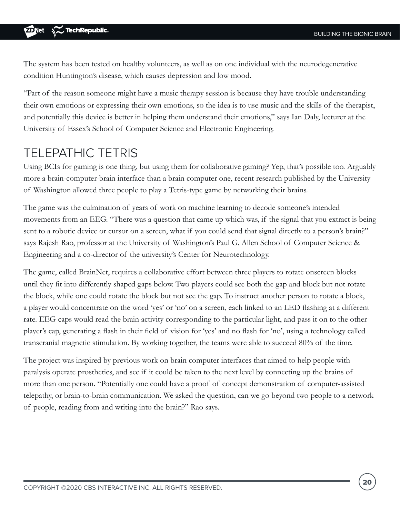The system has been tested on healthy volunteers, as well as on one individual with the neurodegenerative condition Huntington's disease, which causes depression and low mood.

"Part of the reason someone might have a music therapy session is because they have trouble understanding their own emotions or expressing their own emotions, so the idea is to use music and the skills of the therapist, and potentially this device is better in helping them understand their emotions," says Ian Daly, lecturer at the University of Essex's School of Computer Science and Electronic Engineering.

### TELEPATHIC TETRIS

Using BCIs for gaming is one thing, but using them for collaborative gaming? Yep, that's possible too. Arguably more a brain-computer-brain interface than a brain computer one, recent research published by the University of Washington allowed three people to play a Tetris-type game by networking their brains.

The game was the culmination of years of work on machine learning to decode someone's intended movements from an EEG. "There was a question that came up which was, if the signal that you extract is being sent to a robotic device or cursor on a screen, what if you could send that signal directly to a person's brain?" says Rajesh Rao, professor at the University of Washington's Paul G. Allen School of Computer Science & Engineering and a co-director of the university's Center for Neurotechnology.

The game, called BrainNet, requires a collaborative effort between three players to rotate onscreen blocks until they fit into differently shaped gaps below. Two players could see both the gap and block but not rotate the block, while one could rotate the block but not see the gap. To instruct another person to rotate a block, a player would concentrate on the word 'yes' or 'no' on a screen, each linked to an LED flashing at a different rate. EEG caps would read the brain activity corresponding to the particular light, and pass it on to the other player's cap, generating a flash in their field of vision for 'yes' and no flash for 'no', using a technology called transcranial magnetic stimulation. By working together, the teams were able to succeed 80% of the time.

The project was inspired by previous work on brain computer interfaces that aimed to help people with paralysis operate prosthetics, and see if it could be taken to the next level by connecting up the brains of more than one person. "Potentially one could have a proof of concept demonstration of computer-assisted telepathy, or brain-to-brain communication. We asked the question, can we go beyond two people to a network of people, reading from and writing into the brain?" Rao says.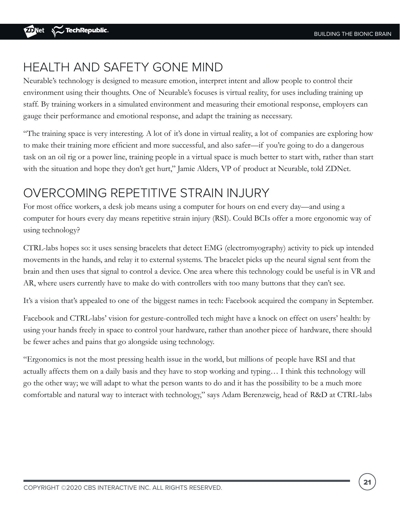### HEALTH AND SAFETY GONE MIND

Neurable's technology is designed to measure emotion, interpret intent and allow people to control their environment using their thoughts. One of Neurable's focuses is virtual reality, for uses including training up staff. By training workers in a simulated environment and measuring their emotional response, employers can gauge their performance and emotional response, and adapt the training as necessary.

"The training space is very interesting. A lot of it's done in virtual reality, a lot of companies are exploring how to make their training more efficient and more successful, and also safer—if you're going to do a dangerous task on an oil rig or a power line, training people in a virtual space is much better to start with, rather than start with the situation and hope they don't get hurt," Jamie Alders, VP of product at Neurable, told ZDNet.

### OVERCOMING REPETITIVE STRAIN INJURY

For most office workers, a desk job means using a computer for hours on end every day—and using a computer for hours every day means repetitive strain injury (RSI). Could BCIs offer a more ergonomic way of using technology?

CTRL-labs hopes so: it uses sensing bracelets that detect EMG (electromyography) activity to pick up intended movements in the hands, and relay it to external systems. The bracelet picks up the neural signal sent from the brain and then uses that signal to control a device. One area where this technology could be useful is in VR and AR, where users currently have to make do with controllers with too many buttons that they can't see.

It's a vision that's appealed to one of the biggest names in tech: Facebook acquired the company in September.

Facebook and CTRL-labs' vision for gesture-controlled tech might have a knock on effect on users' health: by using your hands freely in space to control your hardware, rather than another piece of hardware, there should be fewer aches and pains that go alongside using technology.

"Ergonomics is not the most pressing health issue in the world, but millions of people have RSI and that actually affects them on a daily basis and they have to stop working and typing… I think this technology will go the other way; we will adapt to what the person wants to do and it has the possibility to be a much more comfortable and natural way to interact with technology," says Adam Berenzweig, head of R&D at CTRL-labs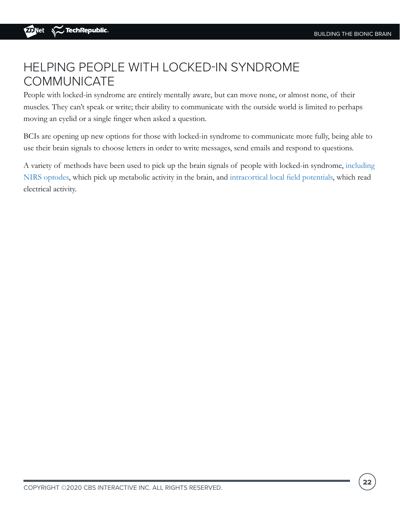### HELPING PEOPLE WITH LOCKED-IN SYNDROME **COMMUNICATE**

People with locked-in syndrome are entirely mentally aware, but can move none, or almost none, of their muscles. They can't speak or write; their ability to communicate with the outside world is limited to perhaps moving an eyelid or a single finger when asked a question.

BCIs are opening up new options for those with locked-in syndrome to communicate more fully, being able to use their brain signals to choose letters in order to write messages, send emails and respond to questions.

A variety of methods have been used to pick up the brain signals of people with locked-in syndrome, [including](https://www.zdnet.com/article/mind-reading-made-possible-how-people-that-cant-talk-can-communicate-by-thought-alone/)  [NIRS optodes](https://www.zdnet.com/article/mind-reading-made-possible-how-people-that-cant-talk-can-communicate-by-thought-alone/), which pick up metabolic activity in the brain, and [intracortical local field potentials](https://journals.physiology.org/doi/full/10.1152/jn.00493.2017), which read electrical activity.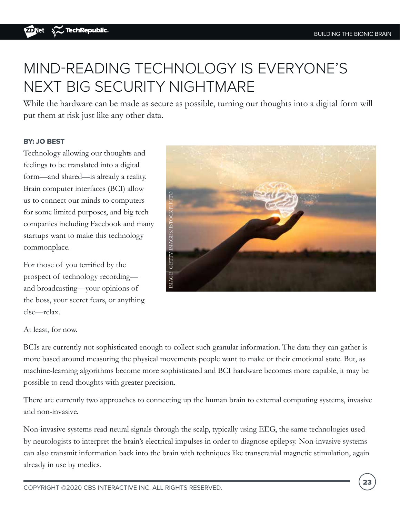# MIND-READING TECHNOLOGY IS EVERYONE'S NEXT BIG SECURITY NIGHTMARE

While the hardware can be made as secure as possible, turning our thoughts into a digital form will put them at risk just like any other data.

### BY: JO BEST

Technology allowing our thoughts and feelings to be translated into a digital form—and shared—is already a reality. Brain computer interfaces (BCI) allow us to connect our minds to computers for some limited purposes, and big tech companies including Facebook and many startups want to make this technology commonplace.

For those of you terrified by the prospect of technology recording and broadcasting—your opinions of the boss, your secret fears, or anything else—relax.



At least, for now.

BCIs are currently not sophisticated enough to collect such granular information. The data they can gather is more based around measuring the physical movements people want to make or their emotional state. But, as machine-learning algorithms become more sophisticated and BCI hardware becomes more capable, it may be possible to read thoughts with greater precision.

There are currently two approaches to connecting up the human brain to external computing systems, invasive and non-invasive.

Non-invasive systems read neural signals through the scalp, typically using EEG, the same technologies used by neurologists to interpret the brain's electrical impulses in order to diagnose epilepsy. Non-invasive systems can also transmit information back into the brain with techniques like transcranial magnetic stimulation, again already in use by medics.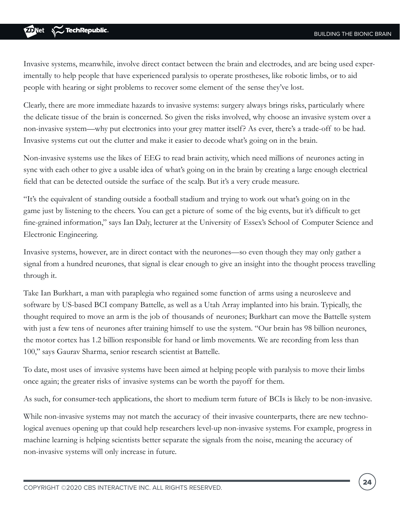Invasive systems, meanwhile, involve direct contact between the brain and electrodes, and are being used experimentally to help people that have experienced paralysis to operate prostheses, like robotic limbs, or to aid people with hearing or sight problems to recover some element of the sense they've lost.

Clearly, there are more immediate hazards to invasive systems: surgery always brings risks, particularly where the delicate tissue of the brain is concerned. So given the risks involved, why choose an invasive system over a non-invasive system—why put electronics into your grey matter itself? As ever, there's a trade-off to be had. Invasive systems cut out the clutter and make it easier to decode what's going on in the brain.

Non-invasive systems use the likes of EEG to read brain activity, which need millions of neurones acting in sync with each other to give a usable idea of what's going on in the brain by creating a large enough electrical field that can be detected outside the surface of the scalp. But it's a very crude measure.

"It's the equivalent of standing outside a football stadium and trying to work out what's going on in the game just by listening to the cheers. You can get a picture of some of the big events, but it's difficult to get fine-grained information," says Ian Daly, lecturer at the University of Essex's School of Computer Science and Electronic Engineering.

Invasive systems, however, are in direct contact with the neurones—so even though they may only gather a signal from a hundred neurones, that signal is clear enough to give an insight into the thought process travelling through it.

Take Ian Burkhart, a man with paraplegia who regained some function of arms using a neurosleeve and software by US-based BCI company Battelle, as well as a Utah Array implanted into his brain. Typically, the thought required to move an arm is the job of thousands of neurones; Burkhart can move the Battelle system with just a few tens of neurones after training himself to use the system. "Our brain has 98 billion neurones, the motor cortex has 1.2 billion responsible for hand or limb movements. We are recording from less than 100," says Gaurav Sharma, senior research scientist at Battelle.

To date, most uses of invasive systems have been aimed at helping people with paralysis to move their limbs once again; the greater risks of invasive systems can be worth the payoff for them.

As such, for consumer-tech applications, the short to medium term future of BCIs is likely to be non-invasive.

While non-invasive systems may not match the accuracy of their invasive counterparts, there are new technological avenues opening up that could help researchers level-up non-invasive systems. For example, progress in machine learning is helping scientists better separate the signals from the noise, meaning the accuracy of non-invasive systems will only increase in future.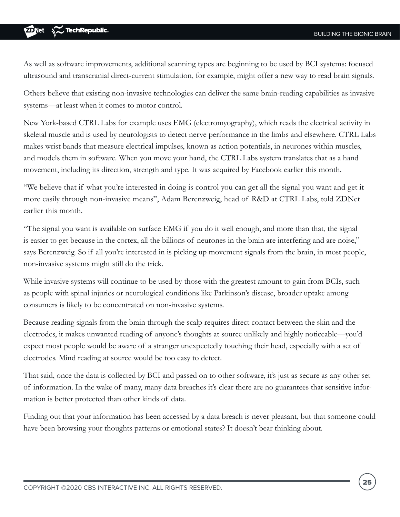As well as software improvements, additional scanning types are beginning to be used by BCI systems: focused ultrasound and transcranial direct-current stimulation, for example, might offer a new way to read brain signals.

Others believe that existing non-invasive technologies can deliver the same brain-reading capabilities as invasive systems—at least when it comes to motor control.

New York-based CTRL Labs for example uses EMG (electromyography), which reads the electrical activity in skeletal muscle and is used by neurologists to detect nerve performance in the limbs and elsewhere. CTRL Labs makes wrist bands that measure electrical impulses, known as action potentials, in neurones within muscles, and models them in software. When you move your hand, the CTRL Labs system translates that as a hand movement, including its direction, strength and type. It was acquired by Facebook earlier this month.

"We believe that if what you're interested in doing is control you can get all the signal you want and get it more easily through non-invasive means", Adam Berenzweig, head of R&D at CTRL Labs, told ZDNet earlier this month.

"The signal you want is available on surface EMG if you do it well enough, and more than that, the signal is easier to get because in the cortex, all the billions of neurones in the brain are interfering and are noise," says Berenzweig. So if all you're interested in is picking up movement signals from the brain, in most people, non-invasive systems might still do the trick.

While invasive systems will continue to be used by those with the greatest amount to gain from BCIs, such as people with spinal injuries or neurological conditions like Parkinson's disease, broader uptake among consumers is likely to be concentrated on non-invasive systems.

Because reading signals from the brain through the scalp requires direct contact between the skin and the electrodes, it makes unwanted reading of anyone's thoughts at source unlikely and highly noticeable—you'd expect most people would be aware of a stranger unexpectedly touching their head, especially with a set of electrodes. Mind reading at source would be too easy to detect.

That said, once the data is collected by BCI and passed on to other software, it's just as secure as any other set of information. In the wake of many, many data breaches it's clear there are no guarantees that sensitive information is better protected than other kinds of data.

Finding out that your information has been accessed by a data breach is never pleasant, but that someone could have been browsing your thoughts patterns or emotional states? It doesn't bear thinking about.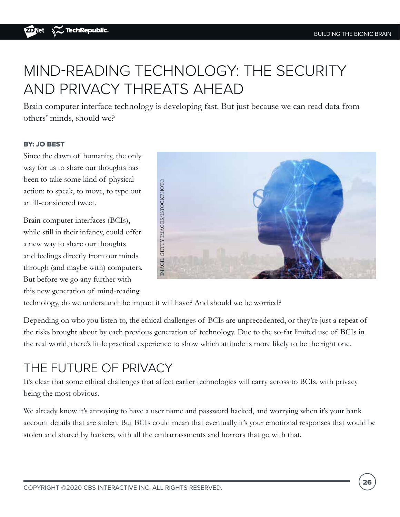# MIND-READING TECHNOLOGY: THE SECURITY AND PRIVACY THREATS AHEAD

Brain computer interface technology is developing fast. But just because we can read data from others' minds, should we?

### BY: JO BEST

Since the dawn of humanity, the only way for us to share our thoughts has been to take some kind of physical action: to speak, to move, to type out an ill-considered tweet.

Brain computer interfaces (BCIs), while still in their infancy, could offer a new way to share our thoughts and feelings directly from our minds through (and maybe with) computers. But before we go any further with this new generation of mind-reading



technology, do we understand the impact it will have? And should we be worried?

Depending on who you listen to, the ethical challenges of BCIs are unprecedented, or they're just a repeat of the risks brought about by each previous generation of technology. Due to the so-far limited use of BCIs in the real world, there's little practical experience to show which attitude is more likely to be the right one.

### THE FUTURE OF PRIVACY

It's clear that some ethical challenges that affect earlier technologies will carry across to BCIs, with privacy being the most obvious.

We already know it's annoying to have a user name and password hacked, and worrying when it's your bank account details that are stolen. But BCIs could mean that eventually it's your emotional responses that would be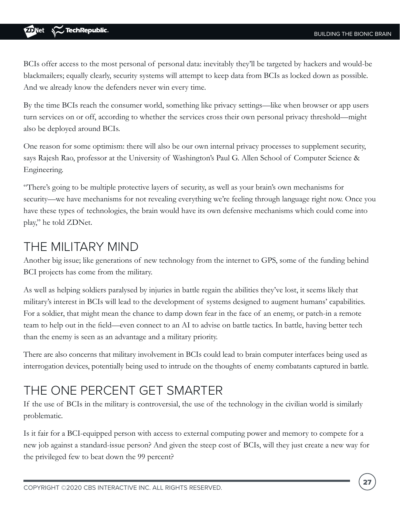BCIs offer access to the most personal of personal data: inevitably they'll be targeted by hackers and would-be blackmailers; equally clearly, security systems will attempt to keep data from BCIs as locked down as possible. And we already know the defenders never win every time.

By the time BCIs reach the consumer world, something like privacy settings—like when browser or app users turn services on or off, according to whether the services cross their own personal privacy threshold—might also be deployed around BCIs.

One reason for some optimism: there will also be our own internal privacy processes to supplement security, says Rajesh Rao, professor at the University of Washington's Paul G. Allen School of Computer Science & Engineering.

"There's going to be multiple protective layers of security, as well as your brain's own mechanisms for security—we have mechanisms for not revealing everything we're feeling through language right now. Once you have these types of technologies, the brain would have its own defensive mechanisms which could come into play," he told ZDNet.

### THE MILITARY MIND

Another big issue; like generations of new technology from the internet to GPS, some of the funding behind BCI projects has come from the military.

As well as helping soldiers paralysed by injuries in battle regain the abilities they've lost, it seems likely that military's interest in BCIs will lead to the development of systems designed to augment humans' capabilities. For a soldier, that might mean the chance to damp down fear in the face of an enemy, or patch-in a remote team to help out in the field—even connect to an AI to advise on battle tactics. In battle, having better tech than the enemy is seen as an advantage and a military priority.

There are also concerns that military involvement in BCIs could lead to brain computer interfaces being used as interrogation devices, potentially being used to intrude on the thoughts of enemy combatants captured in battle.

### THE ONE PERCENT GET SMARTER

If the use of BCIs in the military is controversial, the use of the technology in the civilian world is similarly problematic.

Is it fair for a BCI-equipped person with access to external computing power and memory to compete for a new job against a standard-issue person? And given the steep cost of BCIs, will they just create a new way for the privileged few to beat down the 99 percent?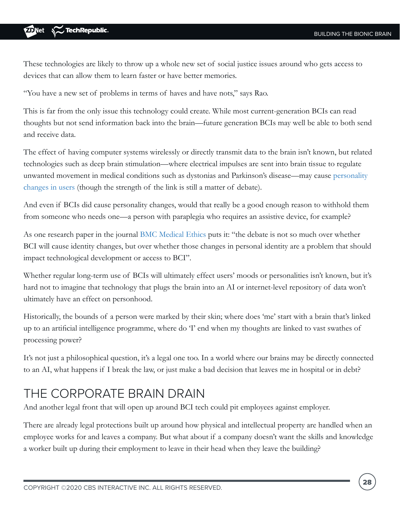These technologies are likely to throw up a whole new set of social justice issues around who gets access to devices that can allow them to learn faster or have better memories.

"You have a new set of problems in terms of haves and have nots," says Rao.

This is far from the only issue this technology could create. While most current-generation BCIs can read thoughts but not send information back into the brain—future generation BCIs may well be able to both send and receive data.

The effect of having computer systems wirelessly or directly transmit data to the brain isn't known, but related technologies such as deep brain stimulation—where electrical impulses are sent into brain tissue to regulate unwanted movement in medical conditions such as dystonias and Parkinson's disease—may cause [personality](https://link.springer.com/article/10.1007/s12152-018-9373-8#link=%7B%22role%22:%22standard%22,%22href%22:%22https://link.springer.com/article/10.1007/s12152-018-9373-8%22,%22target%22:%22_blank%22,%22absolute%22:%22%22,%22linkText%22:%22personality%20changes%20in%20users%22%7D)  [changes in users](https://link.springer.com/article/10.1007/s12152-018-9373-8#link=%7B%22role%22:%22standard%22,%22href%22:%22https://link.springer.com/article/10.1007/s12152-018-9373-8%22,%22target%22:%22_blank%22,%22absolute%22:%22%22,%22linkText%22:%22personality%20changes%20in%20users%22%7D) (though the strength of the link is still a matter of debate).

And even if BCIs did cause personality changes, would that really be a good enough reason to withhold them from someone who needs one—a person with paraplegia who requires an assistive device, for example?

As one research paper in the journal [BMC Medical Ethics](https://bmcmedethics.biomedcentral.com/articles/10.1186/s12910-017-0220-y#link=%7B%22role%22:%22standard%22,%22href%22:%22https://bmcmedethics.biomedcentral.com/articles/10.1186/s12910-017-0220-y%22,%22target%22:%22%22,%22absolute%22:%22%22,%22linkText%22:%22BMC%20Medical%20Ethics%22%7D) puts it: "the debate is not so much over whether BCI will cause identity changes, but over whether those changes in personal identity are a problem that should impact technological development or access to BCI".

Whether regular long-term use of BCIs will ultimately effect users' moods or personalities isn't known, but it's hard not to imagine that technology that plugs the brain into an AI or internet-level repository of data won't ultimately have an effect on personhood.

Historically, the bounds of a person were marked by their skin; where does 'me' start with a brain that's linked up to an artificial intelligence programme, where do 'I' end when my thoughts are linked to vast swathes of processing power?

It's not just a philosophical question, it's a legal one too. In a world where our brains may be directly connected to an AI, what happens if I break the law, or just make a bad decision that leaves me in hospital or in debt?

### THE CORPORATE BRAIN DRAIN

And another legal front that will open up around BCI tech could pit employees against employer.

There are already legal protections built up around how physical and intellectual property are handled when an employee works for and leaves a company. But what about if a company doesn't want the skills and knowledge a worker built up during their employment to leave in their head when they leave the building?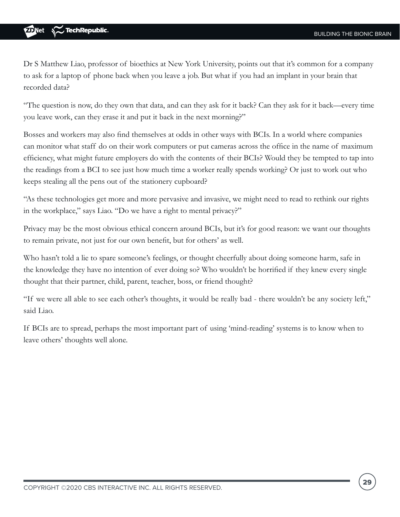Dr S Matthew Liao, professor of bioethics at New York University, points out that it's common for a company to ask for a laptop of phone back when you leave a job. But what if you had an implant in your brain that recorded data?

"The question is now, do they own that data, and can they ask for it back? Can they ask for it back—every time you leave work, can they erase it and put it back in the next morning?"

Bosses and workers may also find themselves at odds in other ways with BCIs. In a world where companies can monitor what staff do on their work computers or put cameras across the office in the name of maximum efficiency, what might future employers do with the contents of their BCIs? Would they be tempted to tap into the readings from a BCI to see just how much time a worker really spends working? Or just to work out who keeps stealing all the pens out of the stationery cupboard?

"As these technologies get more and more pervasive and invasive, we might need to read to rethink our rights in the workplace," says Liao. "Do we have a right to mental privacy?"

Privacy may be the most obvious ethical concern around BCIs, but it's for good reason: we want our thoughts to remain private, not just for our own benefit, but for others' as well.

Who hasn't told a lie to spare someone's feelings, or thought cheerfully about doing someone harm, safe in the knowledge they have no intention of ever doing so? Who wouldn't be horrified if they knew every single thought that their partner, child, parent, teacher, boss, or friend thought?

"If we were all able to see each other's thoughts, it would be really bad - there wouldn't be any society left," said Liao.

If BCIs are to spread, perhaps the most important part of using 'mind-reading' systems is to know when to leave others' thoughts well alone.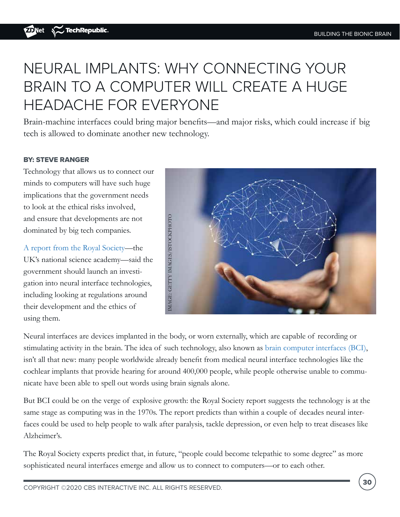# NEURAL IMPLANTS: WHY CONNECTING YOUR BRAIN TO A COMPUTER WILL CREATE A HUGE HEADACHE FOR EVERYONE

Brain-machine interfaces could bring major benefits—and major risks, which could increase if big tech is allowed to dominate another new technology.

### BY: STEVE RANGER

Technology that allows us to connect our minds to computers will have such huge implications that the government needs to look at the ethical risks involved, and ensure that developments are not dominated by big tech companies.

[A report from the Royal Society](https://royalsociety.org/topics-policy/projects/ihuman-perspective/)—the UK's national science academy—said the government should launch an investigation into neural interface technologies, including looking at regulations around their development and the ethics of using them.



Neural interfaces are devices implanted in the body, or worn externally, which are capable of recording or stimulating activity in the brain. The idea of such technology, also known as [brain computer interfaces \(BCI\),](https://www.zdnet.com/article/10-years-from-now-your-brain-will-be-connected-your-computer/) isn't all that new: many people worldwide already benefit from medical neural interface technologies like the cochlear implants that provide hearing for around 400,000 people, while people otherwise unable to communicate have been able to spell out words using brain signals alone.

But BCI could be on the verge of explosive growth: the Royal Society report suggests the technology is at the same stage as computing was in the 1970s. The report predicts than within a couple of decades neural interfaces could be used to help people to walk after paralysis, tackle depression, or even help to treat diseases like Alzheimer's.

The Royal Society experts predict that, in future, "people could become telepathic to some degree" as more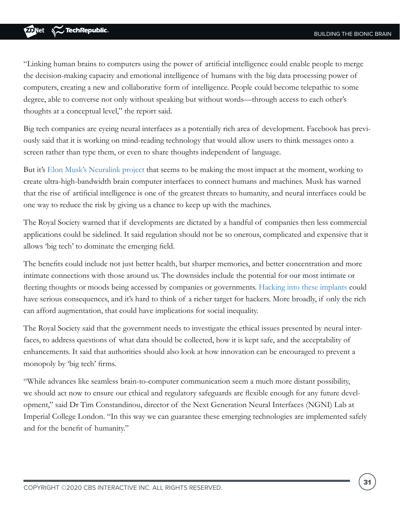"Linking human brains to computers using the power of artificial intelligence could enable people to merge the decision-making capacity and emotional intelligence of humans with the big data processing power of computers, creating a new and collaborative form of intelligence. People could become telepathic to some degree, able to converse not only without speaking but without words—through access to each other's thoughts at a conceptual level," the report said.

Big tech companies are eyeing neural interfaces as a potentially rich area of development. Facebook has previously said that it is working on mind-reading technology that would allow users to think messages onto a screen rather than type them, or even to share thoughts independent of language.

But it's [Elon Musk's Neuralink project](https://www.zdnet.com/article/elon-musks-neuralink-explained-get-ready-to-merge-your-mind-with-a-computer/) that seems to be making the most impact at the moment, working to create ultra-high-bandwidth brain computer interfaces to connect humans and machines. Musk has warned that the rise of artificial intelligence is one of the greatest threats to humanity, and neural interfaces could be one way to reduce the risk by giving us a chance to keep up with the machines.

The Royal Society warned that if developments are dictated by a handful of companies then less commercial applications could be sidelined. It said regulation should not be so onerous, complicated and expensive that it allows 'big tech' to dominate the emerging field.

The benefits could include not just better health, but sharper memories, and better concentration and more intimate connections with those around us. The downsides include the potential for our most intimate or fleeting thoughts or moods being accessed by companies or governments. [Hacking into these implants](https://www.zdnet.com/article/what-is-malware-everything-you-need-to-know-about-viruses-trojans-and-malicious-software/) could have serious consequences, and it's hard to think of a richer target for hackers. More broadly, if only the rich can afford augmentation, that could have implications for social inequality.

The Royal Society said that the government needs to investigate the ethical issues presented by neural interfaces, to address questions of what data should be collected, how it is kept safe, and the acceptability of enhancements. It said that authorities should also look at how innovation can be encouraged to prevent a monopoly by 'big tech' firms.

"While advances like seamless brain-to-computer communication seem a much more distant possibility, we should act now to ensure our ethical and regulatory safeguards are flexible enough for any future development," said Dr Tim Constandinou, director of the Next Generation Neural Interfaces (NGNI) Lab at Imperial College London. "In this way we can guarantee these emerging technologies are implemented safely and for the benefit of humanity."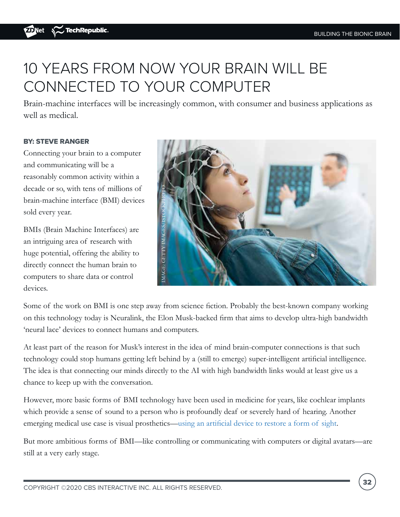# 10 YEARS FROM NOW YOUR BRAIN WILL BE CONNECTED TO YOUR COMPUTER

Brain-machine interfaces will be increasingly common, with consumer and business applications as well as medical.

### BY: STEVE RANGER

Connecting your brain to a computer and communicating will be a reasonably common activity within a decade or so, with tens of millions of brain-machine interface (BMI) devices sold every year.

BMIs (Brain Machine Interfaces) are an intriguing area of research with huge potential, offering the ability to directly connect the human brain to computers to share data or control devices.



Some of the work on BMI is one step away from science fiction. Probably the best-known company working on this technology today is Neuralink, the Elon Musk-backed firm that aims to develop ultra-high bandwidth 'neural lace' devices to connect humans and computers.

At least part of the reason for Musk's interest in the idea of mind brain-computer connections is that such technology could stop humans getting left behind by a (still to emerge) super-intelligent artificial intelligence. The idea is that connecting our minds directly to the AI with high bandwidth links would at least give us a chance to keep up with the conversation.

However, more basic forms of BMI technology have been used in medicine for years, like cochlear implants which provide a sense of sound to a person who is profoundly deaf or severely hard of hearing. Another emerging medical use case is visual prosthetics—[using an artificial device to restore a form of sight](https://www.zdnet.com/article/the-pioneering-bionic-eyes-restoring-sight-how-implantable-tech-is-fighting-blindness/).

But more ambitious forms of BMI—like controlling or communicating with computers or digital avatars—are still at a very early stage.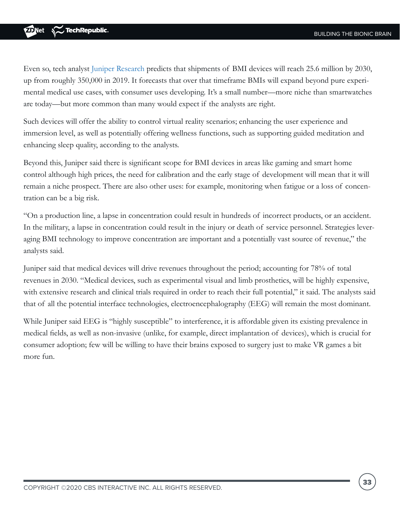Even so, tech analyst [Juniper Research](https://www.juniperresearch.com/home?utm_source=platformsourcecode&utm_medium=email&utm_campaign=pressreleasecode) predicts that shipments of BMI devices will reach 25.6 million by 2030, up from roughly 350,000 in 2019. It forecasts that over that timeframe BMIs will expand beyond pure experimental medical use cases, with consumer uses developing. It's a small number—more niche than smartwatches are today—but more common than many would expect if the analysts are right.

Such devices will offer the ability to control virtual reality scenarios; enhancing the user experience and immersion level, as well as potentially offering wellness functions, such as supporting guided meditation and enhancing sleep quality, according to the analysts.

Beyond this, Juniper said there is significant scope for BMI devices in areas like gaming and smart home control although high prices, the need for calibration and the early stage of development will mean that it will remain a niche prospect. There are also other uses: for example, monitoring when fatigue or a loss of concentration can be a big risk.

"On a production line, a lapse in concentration could result in hundreds of incorrect products, or an accident. In the military, a lapse in concentration could result in the injury or death of service personnel. Strategies leveraging BMI technology to improve concentration are important and a potentially vast source of revenue," the analysts said.

Juniper said that medical devices will drive revenues throughout the period; accounting for 78% of total revenues in 2030. "Medical devices, such as experimental visual and limb prosthetics, will be highly expensive, with extensive research and clinical trials required in order to reach their full potential," it said. The analysts said that of all the potential interface technologies, electroencephalography (EEG) will remain the most dominant.

While Juniper said EEG is "highly susceptible" to interference, it is affordable given its existing prevalence in medical fields, as well as non-invasive (unlike, for example, direct implantation of devices), which is crucial for consumer adoption; few will be willing to have their brains exposed to surgery just to make VR games a bit more fun.